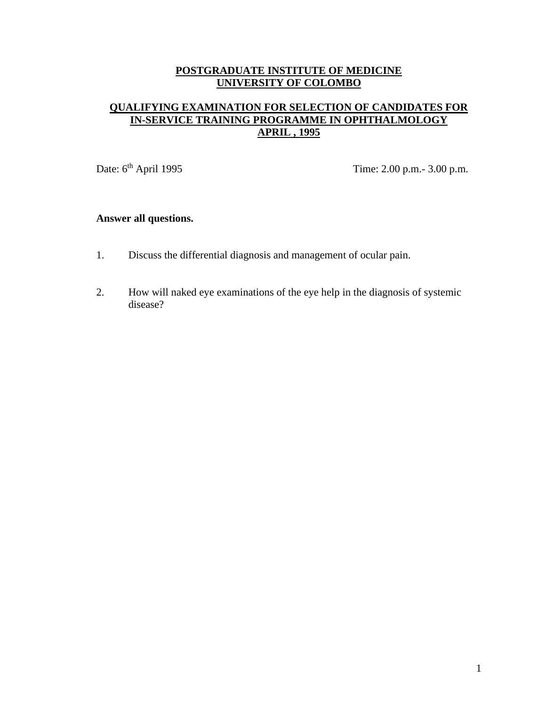# **QUALIFYING EXAMINATION FOR SELECTION OF CANDIDATES FOR IN-SERVICE TRAINING PROGRAMME IN OPHTHALMOLOGY APRIL , 1995**

Date: 6<sup>th</sup> April 1995 Time: 2.00 p.m. - 3.00 p.m.

# **Answer all questions.**

- 1. Discuss the differential diagnosis and management of ocular pain.
- 2. How will naked eye examinations of the eye help in the diagnosis of systemic disease?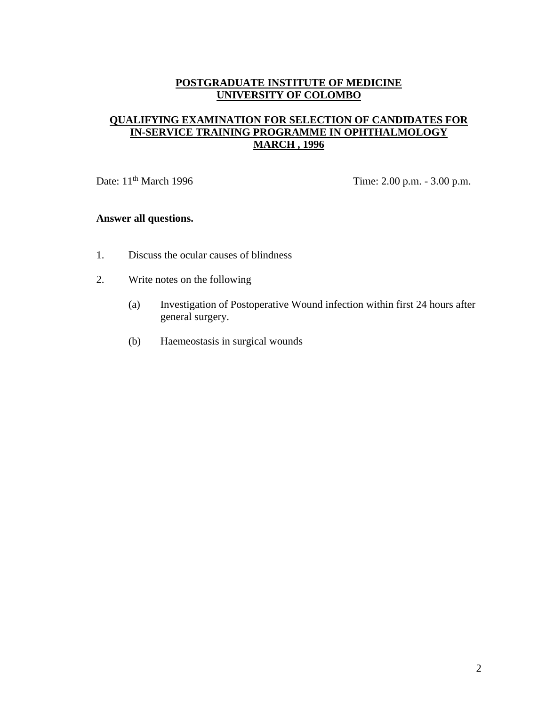## **QUALIFYING EXAMINATION FOR SELECTION OF CANDIDATES FOR IN-SERVICE TRAINING PROGRAMME IN OPHTHALMOLOGY MARCH , 1996**

Date: 11<sup>th</sup> March 1996 Time: 2.00 p.m. - 3.00 p.m.

## **Answer all questions.**

- 1. Discuss the ocular causes of blindness
- 2. Write notes on the following
	- (a) Investigation of Postoperative Wound infection within first 24 hours after general surgery.
	- (b) Haemeostasis in surgical wounds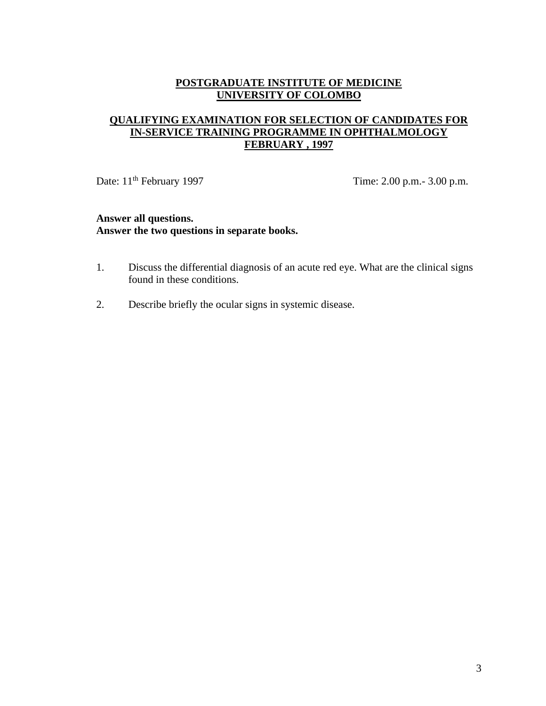## **QUALIFYING EXAMINATION FOR SELECTION OF CANDIDATES FOR IN-SERVICE TRAINING PROGRAMME IN OPHTHALMOLOGY FEBRUARY , 1997**

Date: 11<sup>th</sup> February 1997 Time: 2.00 p.m.- 3.00 p.m.

- 1. Discuss the differential diagnosis of an acute red eye. What are the clinical signs found in these conditions.
- 2. Describe briefly the ocular signs in systemic disease.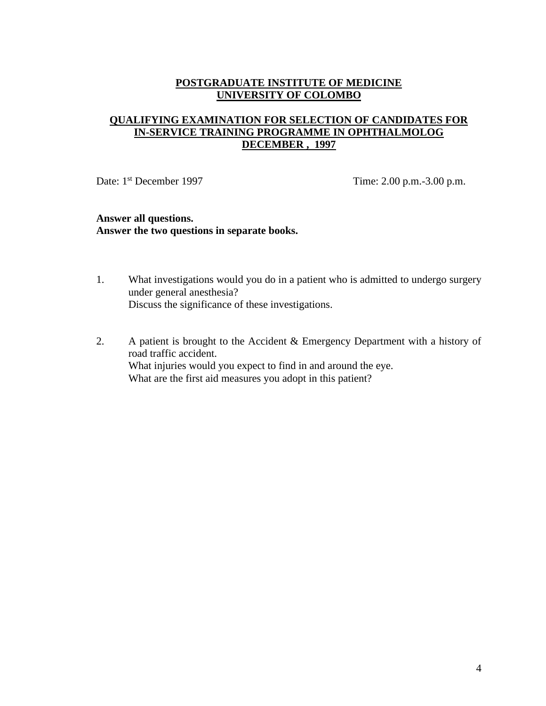### **QUALIFYING EXAMINATION FOR SELECTION OF CANDIDATES FOR IN-SERVICE TRAINING PROGRAMME IN OPHTHALMOLOG DECEMBER , 1997**

Date: 1<sup>st</sup> December 1997 Time: 2.00 p.m.-3.00 p.m.

- 1. What investigations would you do in a patient who is admitted to undergo surgery under general anesthesia? Discuss the significance of these investigations.
- 2. A patient is brought to the Accident & Emergency Department with a history of road traffic accident. What injuries would you expect to find in and around the eye. What are the first aid measures you adopt in this patient?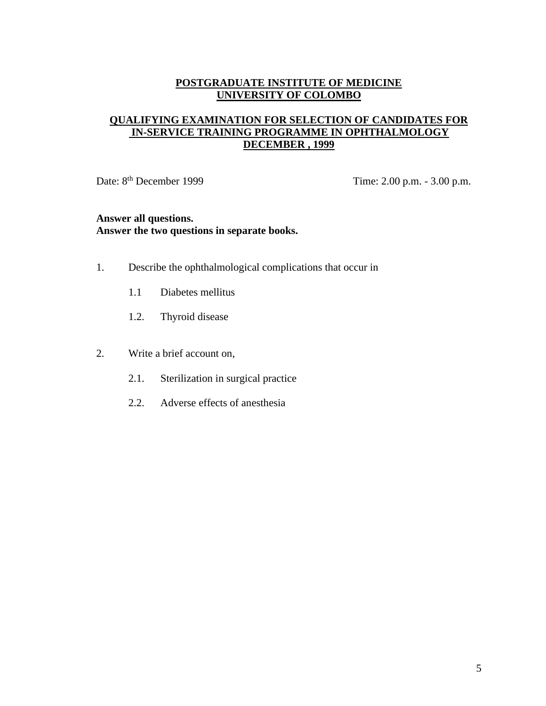## **QUALIFYING EXAMINATION FOR SELECTION OF CANDIDATES FOR IN-SERVICE TRAINING PROGRAMME IN OPHTHALMOLOGY DECEMBER , 1999**

Date: 8<sup>th</sup> December 1999 Time: 2.00 p.m. - 3.00 p.m.

- 1. Describe the ophthalmological complications that occur in
	- 1.1 Diabetes mellitus
	- 1.2. Thyroid disease
- 2. Write a brief account on,
	- 2.1. Sterilization in surgical practice
	- 2.2. Adverse effects of anesthesia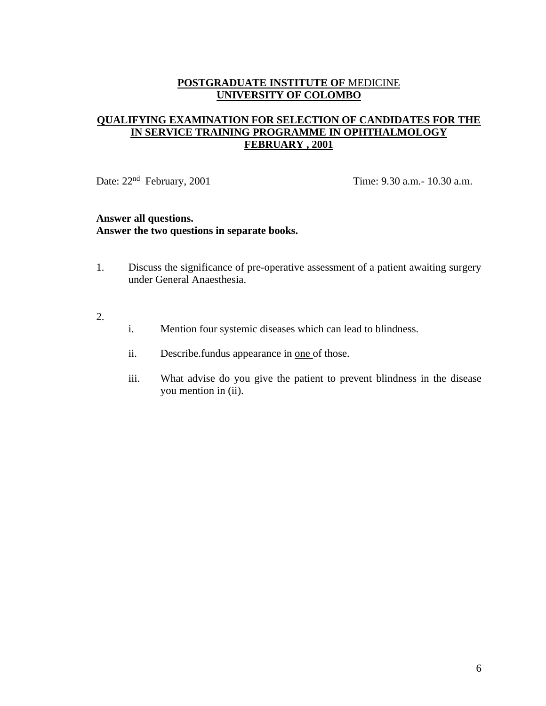### **QUALIFYING EXAMINATION FOR SELECTION OF CANDIDATES FOR THE IN SERVICE TRAINING PROGRAMME IN OPHTHALMOLOGY FEBRUARY , 2001**

Date:  $22<sup>nd</sup>$  February,  $2001$  Time: 9.30 a.m. - 10.30 a.m.

- 1. Discuss the significance of pre-operative assessment of a patient awaiting surgery under General Anaesthesia.
- 2.
- i. Mention four systemic diseases which can lead to blindness.
- ii. Describe.fundus appearance in one of those.
- iii. What advise do you give the patient to prevent blindness in the disease you mention in (ii).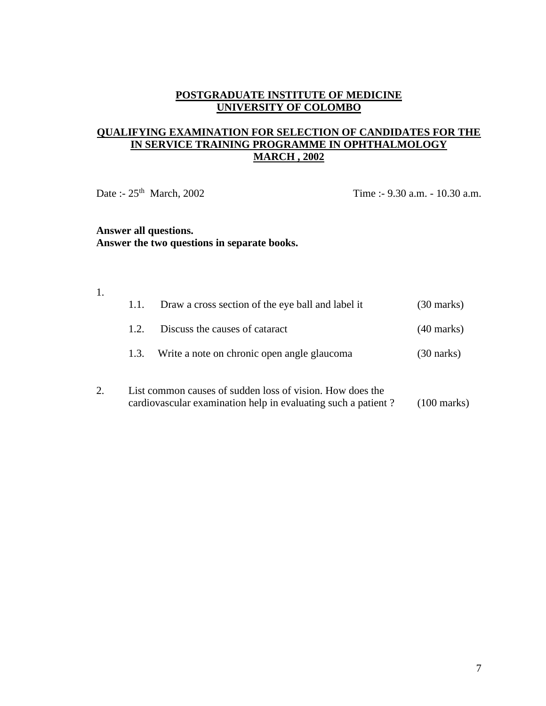## **QUALIFYING EXAMINATION FOR SELECTION OF CANDIDATES FOR THE IN SERVICE TRAINING PROGRAMME IN OPHTHALMOLOGY MARCH , 2002**

Date :- 25<sup>th</sup> March, 2002 Time :- 9.30 a.m. - 10.30 a.m.

## **Answer all questions. Answer the two questions in separate books.**

1.

| 1.1. | Draw a cross section of the eye ball and label it         | $(30 \text{ marks})$ |
|------|-----------------------------------------------------------|----------------------|
| 1.2. | Discuss the causes of cataract                            | $(40 \text{ marks})$ |
| 1.3. | Write a note on chronic open angle glaucoma               | $(30 \text{ narks})$ |
|      | List common causes of sudden loss of vision. How does the |                      |

cardiovascular examination help in evaluating such a patient ? (100 marks)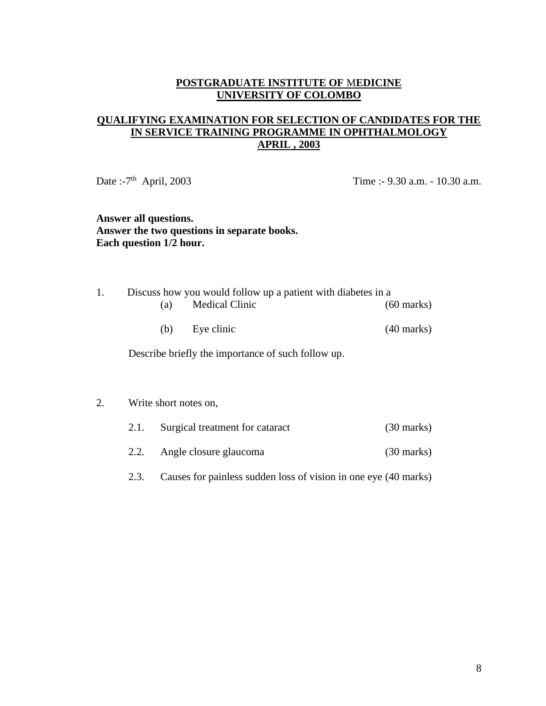## **QUALIFYING EXAMINATION FOR SELECTION OF CANDIDATES FOR THE IN SERVICE TRAINING PROGRAMME IN OPHTHALMOLOGY APRIL , 2003**

Date :- $7<sup>th</sup>$  April, 2003

Time :- 9.30 a.m. - 10.30 a.m.

### **Answer all questions. Answer the two questions in separate books. Each question 1/2 hour.**

| 1. |                                                    |                       | Discuss how you would follow up a patient with diabetes in a |                      |  |  |  |
|----|----------------------------------------------------|-----------------------|--------------------------------------------------------------|----------------------|--|--|--|
|    | (a)                                                | <b>Medical Clinic</b> |                                                              | $(60 \text{ marks})$ |  |  |  |
|    | (b)                                                | Eye clinic            |                                                              | $(40 \text{ marks})$ |  |  |  |
|    | Describe briefly the importance of such follow up. |                       |                                                              |                      |  |  |  |
| 2. | Write short notes on,                              |                       |                                                              |                      |  |  |  |

| 2.1. | Surgical treatment for cataract | $(30 \text{ marks})$ |
|------|---------------------------------|----------------------|
|      |                                 |                      |

- 2.2. Angle closure glaucoma (30 marks)
- 2.3. Causes for painless sudden loss of vision in one eye (40 marks)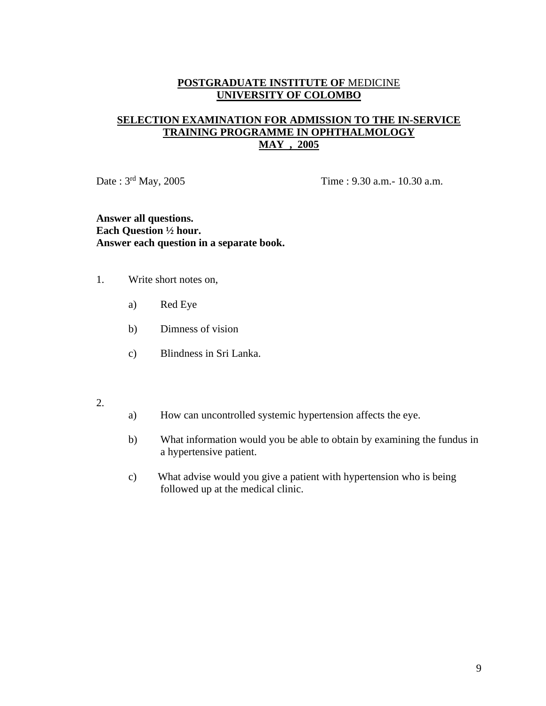### **SELECTION EXAMINATION FOR ADMISSION TO THE IN-SERVICE TRAINING PROGRAMME IN OPHTHALMOLOGY MAY , 2005**

Date : 3<sup>rd</sup> May, 2005 Time : 9.30 a.m. - 10.30 a.m.

**Answer all questions. Each Question ½ hour. Answer each question in a separate book.**

- 1. Write short notes on,
	- a) Red Eye
	- b) Dimness of vision
	- c) Blindness in Sri Lanka.
- 2.
- a) How can uncontrolled systemic hypertension affects the eye.
- b) What information would you be able to obtain by examining the fundus in a hypertensive patient.
- c) What advise would you give a patient with hypertension who is being followed up at the medical clinic.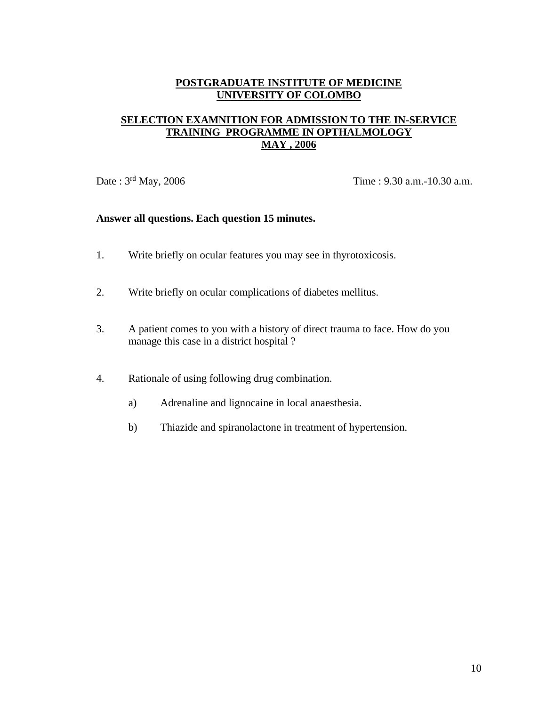### **SELECTION EXAMNITION FOR ADMISSION TO THE IN-SERVICE TRAINING PROGRAMME IN OPTHALMOLOGY MAY , 2006**

Date : 3<sup>rd</sup> May, 2006 Time : 9.30 a.m.-10.30 a.m.

### **Answer all questions. Each question 15 minutes.**

- 1. Write briefly on ocular features you may see in thyrotoxicosis.
- 2. Write briefly on ocular complications of diabetes mellitus.
- 3. A patient comes to you with a history of direct trauma to face. How do you manage this case in a district hospital ?
- 4. Rationale of using following drug combination.
	- a) Adrenaline and lignocaine in local anaesthesia.
	- b) Thiazide and spiranolactone in treatment of hypertension.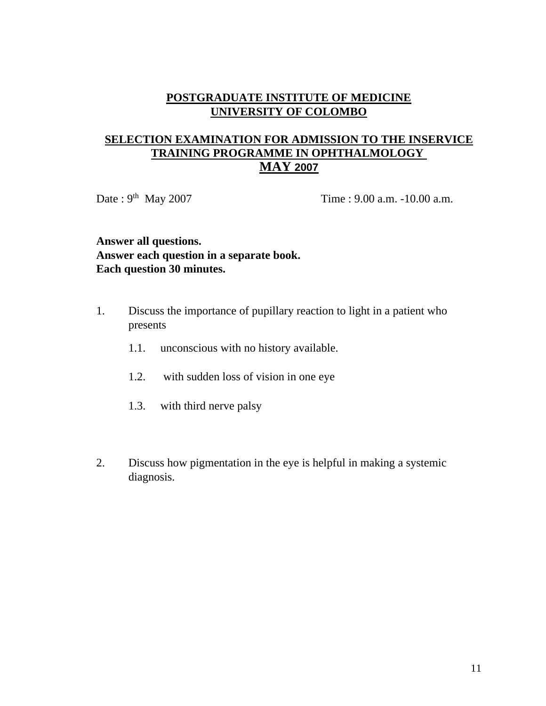# **SELECTION EXAMINATION FOR ADMISSION TO THE INSERVICE TRAINING PROGRAMME IN OPHTHALMOLOGY MAY 2007**

Date: 9<sup>th</sup> May 2007

Time :  $9.00$  a.m.  $-10.00$  a.m.

# **Answer all questions. Answer each question in a separate book. Each question 30 minutes.**

- 1. Discuss the importance of pupillary reaction to light in a patient who presents
	- 1.1. unconscious with no history available.
	- 1.2. with sudden loss of vision in one eye
	- 1.3. with third nerve palsy
- 2. Discuss how pigmentation in the eye is helpful in making a systemic diagnosis.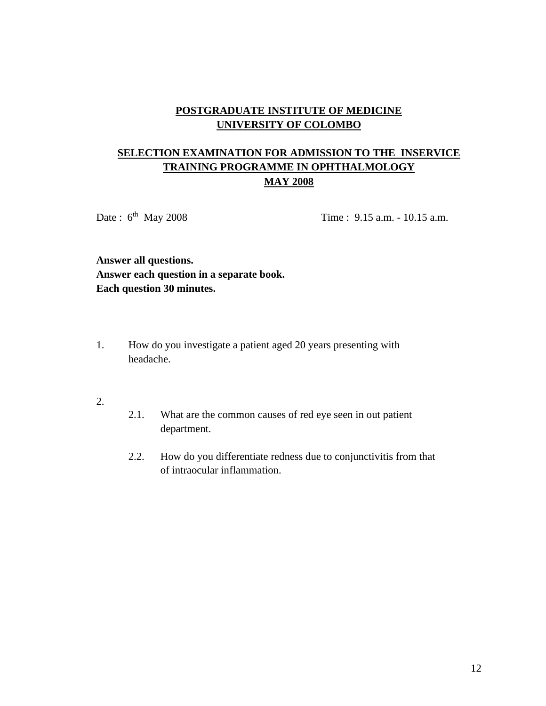# **SELECTION EXAMINATION FOR ADMISSION TO THE INSERVICE TRAINING PROGRAMME IN OPHTHALMOLOGY MAY 2008**

Date:  $6^{th}$  May 2008

Time :  $9.15$  a.m. -  $10.15$  a.m.

**Answer all questions. Answer each question in a separate book. Each question 30 minutes.**

- 1. How do you investigate a patient aged 20 years presenting with headache.
- 2.
- 2.1. What are the common causes of red eye seen in out patient department.
- 2.2. How do you differentiate redness due to conjunctivitis from that of intraocular inflammation.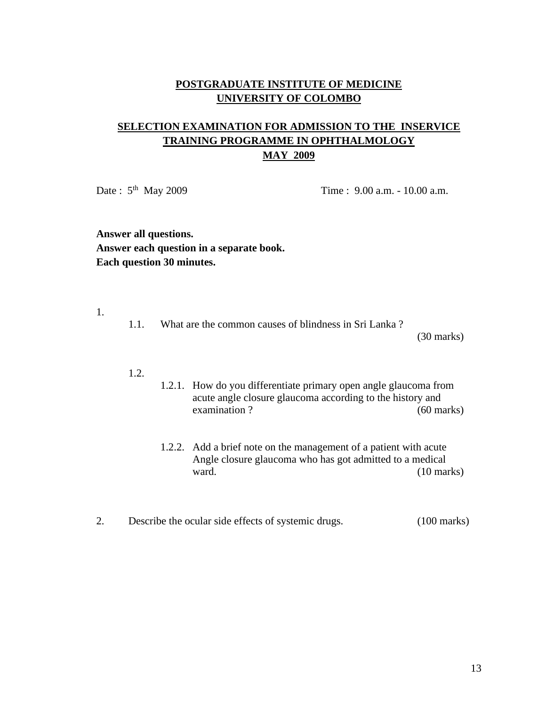# **SELECTION EXAMINATION FOR ADMISSION TO THE INSERVICE TRAINING PROGRAMME IN OPHTHALMOLOGY MAY 2009**

Date:  $5<sup>th</sup>$  May 2009

Time : 9.00 a.m. - 10.00 a.m.

**Answer all questions. Answer each question in a separate book. Each question 30 minutes.**

1.

1.1. What are the common causes of blindness in Sri Lanka ?

(30 marks)

- 1.2.
- 1.2.1. How do you differentiate primary open angle glaucoma from acute angle closure glaucoma according to the history and examination ? (60 marks)
	- 1.2.2. Add a brief note on the management of a patient with acute Angle closure glaucoma who has got admitted to a medical ward. (10 marks)
- 2. Describe the ocular side effects of systemic drugs. (100 marks)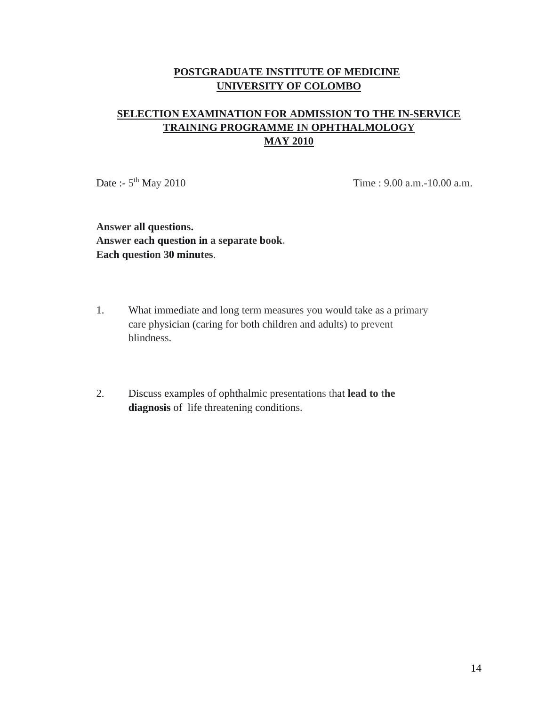# **SELECTION EXAMINATION FOR ADMISSION TO THE IN-SERVICE TRAINING PROGRAMME IN OPHTHALMOLOGY MAY 2010**

Date :-  $5^{th}$  May 2010

Time :  $9.00$  a.m. $-10.00$  a.m.

**Answer all questions. Answer each question in a separate book. Each question 30 minutes**.

- 1. What immediate and long term measures you would take as a primary care physician (caring for both children and adults) to prevent blindness.
- 2. Discuss examples of ophthalmic presentations that **lead to the diagnosis** of life threatening conditions.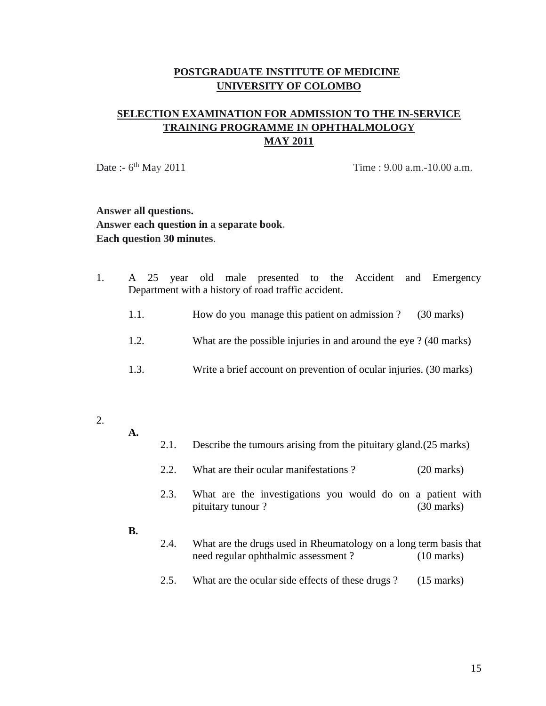# **SELECTION EXAMINATION FOR ADMISSION TO THE IN-SERVICE TRAINING PROGRAMME IN OPHTHALMOLOGY MAY 2011**

Date :-  $6^{\text{th}}$  May 2011

Time :  $9.00$  a.m.-10.00 a.m.

**Answer all questions. Answer each question in a separate book. Each question 30 minutes**.

- 1. A 25 year old male presented to the Accident and Emergency Department with a history of road traffic accident.
	- 1.1. How do you manage this patient on admission ? (30 marks)
	- 1.2. What are the possible injuries in and around the eye ? (40 marks)
	- 1.3. Write a brief account on prevention of ocular injuries. (30 marks)
- 2.
- 

**A.** 

- 2.1. Describe the tumours arising from the pituitary gland.(25 marks)
- 2.2. What are their ocular manifestations ? (20 marks)
- 2.3. What are the investigations you would do on a patient with pituitary tunour ? (30 marks)
- **B.**
- 2.4. What are the drugs used in Rheumatology on a long term basis that need regular ophthalmic assessment ? (10 marks)
- 2.5. What are the ocular side effects of these drugs ? (15 marks)